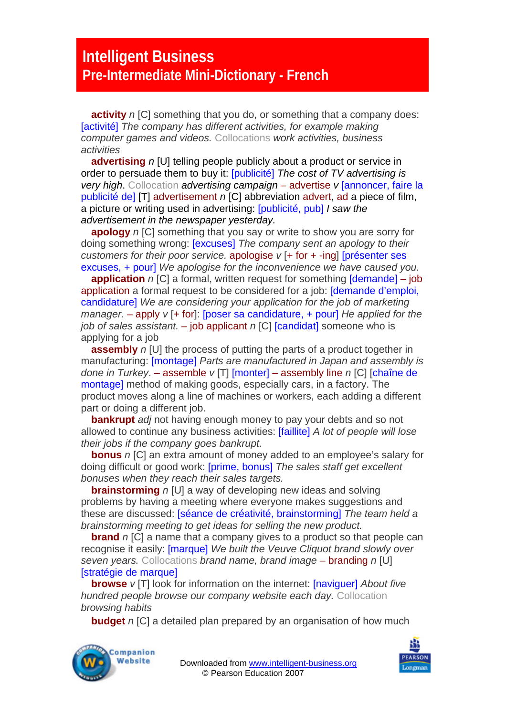## **Intelligent Business Pre-Intermediate Mini-Dictionary - French**

**activity** *n* [C] something that you do, or something that a company does: [activité] *The company has different activities, for example making computer games and videos.* Collocations *work activities, business activities* 

**advertising** *n* [U] telling people publicly about a product or service in order to persuade them to buy it: [publicité] *The cost of TV advertising is very high*. Collocation *advertising campaign* – advertise *v* [annoncer, faire la publicité de] [T] advertisement *n* [C] abbreviation advert, ad a piece of film, a picture or writing used in advertising: [publicité, pub] *I saw the advertisement in the newspaper yesterday.* 

**apology** *n* [C] something that you say or write to show you are sorry for doing something wrong: [excuses] *The company sent an apology to their customers for their poor service.* apologise *v* [+ for + -ing] [présenter ses excuses, + pour] *We apologise for the inconvenience we have caused you.* 

**application** *n* [C] a formal, written request for something **[demande]** – job application a formal request to be considered for a job: [demande d'emploi, candidature] *We are considering your application for the job of marketing manager.* – apply *v* [+ for]: [poser sa candidature, + pour] *He applied for the job of sales assistant.* – job applicant *n* [C] [candidat] someone who is applying for a job

**assembly** *n* [U] the process of putting the parts of a product together in manufacturing: [montage] *Parts are manufactured in Japan and assembly is done in Turkey*. – assemble *v* [T] [monter] – assembly line *n* [C] [chaîne de montage] method of making goods, especially cars, in a factory. The product moves along a line of machines or workers, each adding a different part or doing a different job.

**bankrupt** *adj* not having enough money to pay your debts and so not allowed to continue any business activities: [faillite] *A lot of people will lose their jobs if the company goes bankrupt.* 

**bonus** *n* [C] an extra amount of money added to an employee's salary for doing difficult or good work: [prime, bonus] *The sales staff get excellent bonuses when they reach their sales targets.* 

**brainstorming** *n* [U] a way of developing new ideas and solving problems by having a meeting where everyone makes suggestions and these are discussed: [séance de créativité, brainstorming] *The team held a brainstorming meeting to get ideas for selling the new product.* 

**brand** *n* [C] a name that a company gives to a product so that people can recognise it easily: [marque] *We built the Veuve Cliquot brand slowly over seven years.* Collocations *brand name, brand image* – branding *n* [U] [stratégie de marque]

**browse** *v* [T] look for information on the internet: [naviguer] *About five hundred people browse our company website each day.* Collocation *browsing habits* 

**budget** *n* [C] a detailed plan prepared by an organisation of how much



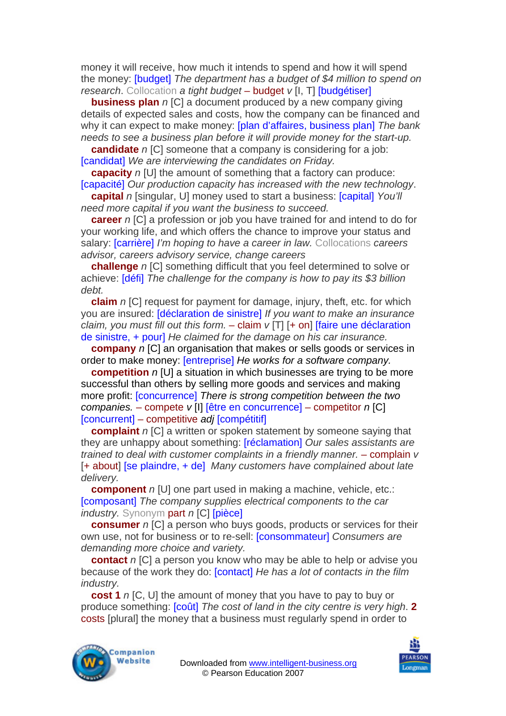money it will receive, how much it intends to spend and how it will spend the money: [budget] *The department has a budget of \$4 million to spend on research*. Collocation *a tight budget* – budget *v* [I, T] [budgétiser]

**business plan** *n* [C] a document produced by a new company giving details of expected sales and costs, how the company can be financed and why it can expect to make money: [plan d'affaires, business plan] *The bank needs to see a business plan before it will provide money for the start-up.* 

**candidate** *n* [C] someone that a company is considering for a job: [candidat] *We are interviewing the candidates on Friday.* 

**capacity** *n* [U] the amount of something that a factory can produce: [capacité] *Our production capacity has increased with the new technology*.

**capital** *n* [singular, U] money used to start a business: [capital] *You'll need more capital if you want the business to succeed.* 

**career** *n* [C] a profession or job you have trained for and intend to do for your working life, and which offers the chance to improve your status and salary: [carrière] *I'm hoping to have a career in law.* Collocations *careers advisor, careers advisory service, change careers* 

**challenge** *n* [C] something difficult that you feel determined to solve or achieve: [défi] *The challenge for the company is how to pay its \$3 billion debt.* 

**claim** *n* [C] request for payment for damage, injury, theft, etc. for which you are insured: [déclaration de sinistre] *If you want to make an insurance claim, you must fill out this form.*  $-$  claim  $v$  [T] [ $+$  on] [faire une déclaration de sinistre, + pour] *He claimed for the damage on his car insurance.* 

**company** *n* [C] an organisation that makes or sells goods or services in order to make money: [entreprise] *He works for a software company.* 

**competition** *n* [U] a situation in which businesses are trying to be more successful than others by selling more goods and services and making more profit: [concurrence] *There is strong competition between the two companies.* – compete *v* [I] [être en concurrence] – competitor *n* [C] [concurrent] – competitive *adj* [compétitif]

**complaint** *n* [C] a written or spoken statement by someone saying that they are unhappy about something: [réclamation] *Our sales assistants are trained to deal with customer complaints in a friendly manner. – complain v* [+ about] [se plaindre, + de] *Many customers have complained about late delivery.* 

**component** *n* [U] one part used in making a machine, vehicle, etc.: [composant] *The company supplies electrical components to the car industry.* Synonym part *n* [C] [pièce]

**consumer** *n* [C] a person who buys goods, products or services for their own use, not for business or to re-sell: [consommateur] *Consumers are demanding more choice and variety.* 

**contact** *n* [C] a person you know who may be able to help or advise you because of the work they do: [contact] *He has a lot of contacts in the film industry.* 

**cost 1** *n* [C, U] the amount of money that you have to pay to buy or produce something: [coût] *The cost of land in the city centre is very high*. **2**  costs [plural] the money that a business must regularly spend in order to



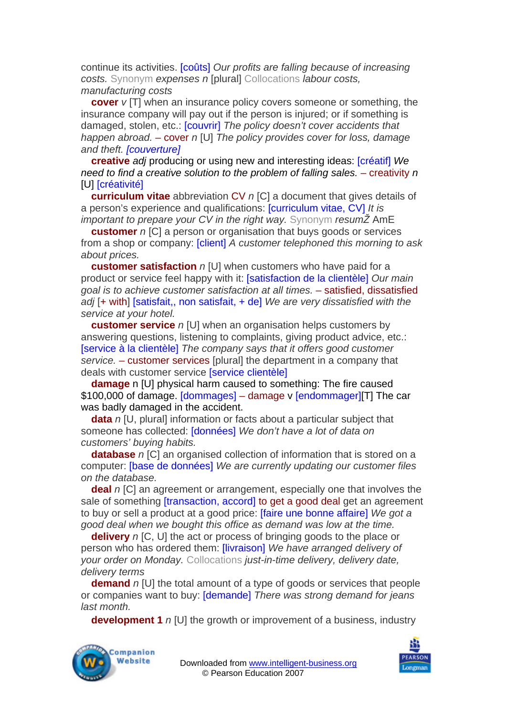continue its activities. [coûts] *Our profits are falling because of increasing costs.* Synonym *expenses n* [plural] Collocations *labour costs, manufacturing costs* 

**cover** *v* [T] when an insurance policy covers someone or something, the insurance company will pay out if the person is injured; or if something is damaged, stolen, etc.: [couvrir] *The policy doesn't cover accidents that happen abroad.* – cover *n* [U] *The policy provides cover for loss, damage and theft. [couverture]*

**creative** *adj* producing or using new and interesting ideas: [créatif] *We need to find a creative solution to the problem of falling sales.* – creativity *n*  **[U] [créativité]** 

**curriculum vitae** abbreviation CV *n* [C] a document that gives details of a person's experience and qualifications: [curriculum vitae, CV] *It is important to prepare your CV in the right way.* Synonym *resum* $\angle$  AmE

**customer** *n* [C] a person or organisation that buys goods or services from a shop or company: [client] *A customer telephoned this morning to ask about prices.* 

**customer satisfaction** *n* [U] when customers who have paid for a product or service feel happy with it: [satisfaction de la clientèle] *Our main goal is to achieve customer satisfaction at all times.* – satisfied, dissatisfied *adj* [+ with] [satisfait,, non satisfait, + de] *We are very dissatisfied with the service at your hotel.* 

**customer service** *n* [U] when an organisation helps customers by answering questions, listening to complaints, giving product advice, etc.: [service à la clientèle] *The company says that it offers good customer service.* – customer services [plural] the department in a company that deals with customer service [service clientèle]

**damage** n [U] physical harm caused to something: The fire caused \$100,000 of damage. [dommages] – damage v [endommager][T] The car was badly damaged in the accident.

**data** *n* [U, plural] information or facts about a particular subject that someone has collected: [données] *We don't have a lot of data on customers' buying habits.* 

**database** *n* [C] an organised collection of information that is stored on a computer: [base de données] *We are currently updating our customer files on the database.* 

**deal** *n* [C] an agreement or arrangement, especially one that involves the sale of something *[transaction, accord]* to get a good deal get an agreement to buy or sell a product at a good price: [faire une bonne affaire] *We got a good deal when we bought this office as demand was low at the time.* 

**delivery** *n* [C, U] the act or process of bringing goods to the place or person who has ordered them: [livraison] *We have arranged delivery of your order on Monday.* Collocations *just-in-time delivery, delivery date, delivery terms* 

**demand** *n* [U] the total amount of a type of goods or services that people or companies want to buy: [demande] *There was strong demand for jeans last month.* 

**development 1** *n* [U] the growth or improvement of a business, industry



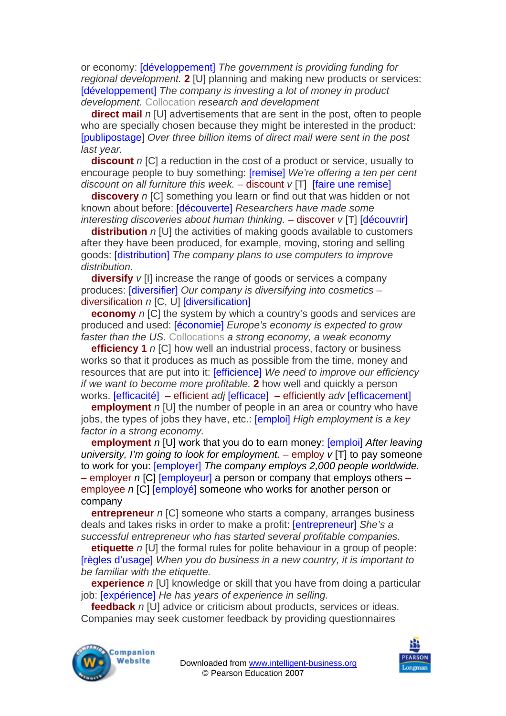or economy: [développement] *The government is providing funding for regional development.* **2** [U] planning and making new products or services: [développement] *The company is investing a lot of money in product development.* Collocation *research and development* 

**direct mail** *n* [U] advertisements that are sent in the post, often to people who are specially chosen because they might be interested in the product: [publipostage] *Over three billion items of direct mail were sent in the post last year.* 

**discount** *n* [C] a reduction in the cost of a product or service, usually to encourage people to buy something: [remise] *We're offering a ten per cent discount on all furniture this week.* – discount *v* [T] [faire une remise]

**discovery** *n* [C] something you learn or find out that was hidden or not known about before: [découverte] *Researchers have made some interesting discoveries about human thinking.* – discover *v* [T] [découvrir]

**distribution** *n* [U] the activities of making goods available to customers after they have been produced, for example, moving, storing and selling goods: [distribution] *The company plans to use computers to improve distribution.*

**diversify** *v* [I] increase the range of goods or services a company produces: [diversifier] *Our company is diversifying into cosmetics* – diversification *n* [C, U] [diversification]

**economy** *n* [C] the system by which a country's goods and services are produced and used: [économie] *Europe's economy is expected to grow faster than the US.* Collocations *a strong economy, a weak economy* 

**efficiency 1** *n* [C] how well an industrial process, factory or business works so that it produces as much as possible from the time, money and resources that are put into it: [efficience] *We need to improve our efficiency if we want to become more profitable.* **2** how well and quickly a person works. [efficacité] – efficient *adj* [efficace]– efficiently *adv* [efficacement]

**employment** *n* [U] the number of people in an area or country who have jobs, the types of jobs they have, etc.: [emploi] *High employment is a key factor in a strong economy.* 

**employment** *n* [U] work that you do to earn money: [emploi] *After leaving university, I'm going to look for employment.* – employ *v* [T] to pay someone to work for you: [employer] *The company employs 2,000 people worldwide.*  – employer *n* [C] [employeur] a person or company that employs others – employee *n* [C] [employé] someone who works for another person or company

**entrepreneur** *n* [C] someone who starts a company, arranges business deals and takes risks in order to make a profit: [entrepreneur] *She's a successful entrepreneur who has started several profitable companies.* 

**etiquette** *n* [U] the formal rules for polite behaviour in a group of people: [règles d'usage] *When you do business in a new country, it is important to be familiar with the etiquette.* 

**experience** *n* [U] knowledge or skill that you have from doing a particular job: [expérience] *He has years of experience in selling.*

**feedback** *n* [U] advice or criticism about products, services or ideas. Companies may seek customer feedback by providing questionnaires



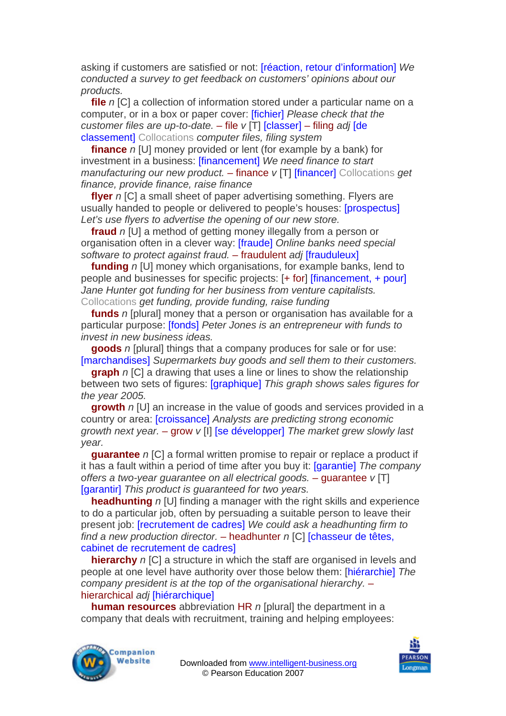asking if customers are satisfied or not: [réaction, retour d'information] *We conducted a survey to get feedback on customers' opinions about our products.* 

**file** *n* [C] a collection of information stored under a particular name on a computer, or in a box or paper cover: [fichier] *Please check that the customer files are up-to-date.* – file *v* [T] [classer] – filing *adj* [de classement] Collocations *computer files, filing system*

**finance** *n* [U] money provided or lent (for example by a bank) for investment in a business: [financement] *We need finance to start manufacturing our new product.* – finance *v* [T] [financer] Collocations *get finance, provide finance, raise finance* 

**flyer** *n* [C] a small sheet of paper advertising something. Flyers are usually handed to people or delivered to people's houses: [prospectus] *Let's use flyers to advertise the opening of our new store.* 

**fraud** *n* [U] a method of getting money illegally from a person or organisation often in a clever way: [fraude] *Online banks need special software to protect against fraud.* – fraudulent *adj* [frauduleux]

**funding** *n* [U] money which organisations, for example banks, lend to people and businesses for specific projects: [+ for] [financement, + pour] *Jane Hunter got funding for her business from venture capitalists.*  Collocations *get funding, provide funding, raise funding* 

**funds** *n* [plural] money that a person or organisation has available for a particular purpose: [fonds] *Peter Jones is an entrepreneur with funds to invest in new business ideas.* 

**goods** *n* [plural] things that a company produces for sale or for use: [marchandises] *Supermarkets buy goods and sell them to their customers.* 

**graph** *n* [C] a drawing that uses a line or lines to show the relationship between two sets of figures: [graphique] *This graph shows sales figures for the year 2005.* 

**growth** *n* [U] an increase in the value of goods and services provided in a country or area: [croissance] *Analysts are predicting strong economic growth next year.* – grow *v* [I] [se développer] *The market grew slowly last year.* 

**guarantee** *n* [C] a formal written promise to repair or replace a product if it has a fault within a period of time after you buy it: [garantie] *The company offers a two-year guarantee on all electrical goods.* – guarantee *v* [T] [garantir] *This product is guaranteed for two years.* 

**headhunting** *n* [U] finding a manager with the right skills and experience to do a particular job, often by persuading a suitable person to leave their present job: [recrutement de cadres] *We could ask a headhunting firm to find a new production director.* – headhunter *n* [C] [chasseur de têtes, cabinet de recrutement de cadres]

**hierarchy** *n* [C] a structure in which the staff are organised in levels and people at one level have authority over those below them: [hiérarchie] *The company president is at the top of the organisational hierarchy.* – hierarchical *adj* [hiérarchique]

**human resources** abbreviation HR *n* [plural] the department in a company that deals with recruitment, training and helping employees:



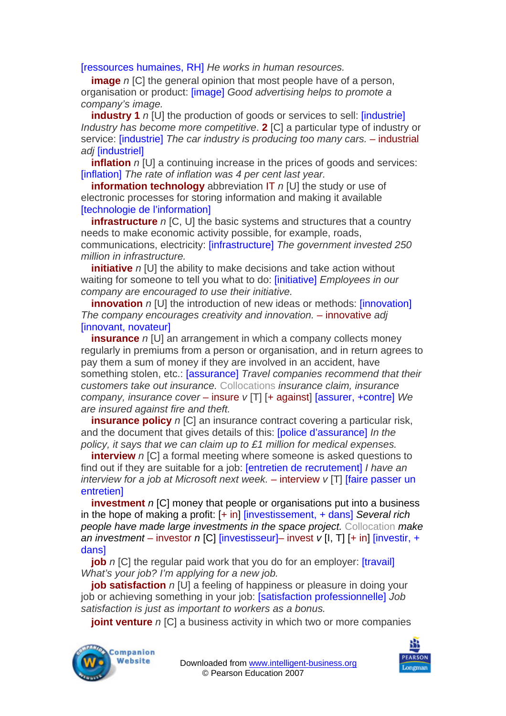[ressources humaines, RH] *He works in human resources.* 

**image** *n* ICI the general opinion that most people have of a person, organisation or product: [image] *Good advertising helps to promote a company's image.* 

**industry 1** *n* [U] the production of goods or services to sell: [industrie] *Industry has become more competitive*. **2** [C] a particular type of industry or service: [industrie] *The car industry is producing too many cars.* – industrial *adj* [industriel]

**inflation** *n* [U] a continuing increase in the prices of goods and services: [inflation] *The rate of inflation was 4 per cent last year.* 

**information technology** abbreviation IT *n* [U] the study or use of electronic processes for storing information and making it available [technologie de l'information]

**infrastructure** *n* [C, U] the basic systems and structures that a country needs to make economic activity possible, for example, roads, communications, electricity: [infrastructure] *The government invested 250 million in infrastructure.* 

*initiative n* [U] the ability to make decisions and take action without waiting for someone to tell you what to do: [initiative] *Employees in our company are encouraged to use their initiative.* 

**innovation** *n* [U] the introduction of new ideas or methods: *[innovation] The company encourages creativity and innovation.* – innovative *adj*  [innovant, novateur]

**insurance** *n* [U] an arrangement in which a company collects money regularly in premiums from a person or organisation, and in return agrees to pay them a sum of money if they are involved in an accident, have something stolen, etc.: [assurance] *Travel companies recommend that their customers take out insurance.* Collocations *insurance claim, insurance company, insurance cover* – insure *v* [T] [+ against] [assurer, +contre] *We are insured against fire and theft.* 

**insurance policy** *n* [C] an insurance contract covering a particular risk, and the document that gives details of this: [police d'assurance] *In the policy, it says that we can claim up to £1 million for medical expenses.* 

**interview** *n* [C] a formal meeting where someone is asked questions to find out if they are suitable for a job: [entretien de recrutement] *I have an interview for a job at Microsoft next week.* – interview *v* [T] [faire passer un entretien]

**investment** *n* [C] money that people or organisations put into a business in the hope of making a profit: [+ in] [investissement, + dans] *Several rich people have made large investments in the space project.* Collocation *make an investment* – investor *n* [C] [investisseur]– invest *v* [I, T] [+ in] [investir, + dans]

**job** *n* [C] the regular paid work that you do for an employer: *[travail] What's your job? I'm applying for a new job.* 

**job satisfaction** *n* [U] a feeling of happiness or pleasure in doing your job or achieving something in your job: [satisfaction professionnelle] *Job satisfaction is just as important to workers as a bonus.* 

**joint venture** *n* [C] a business activity in which two or more companies



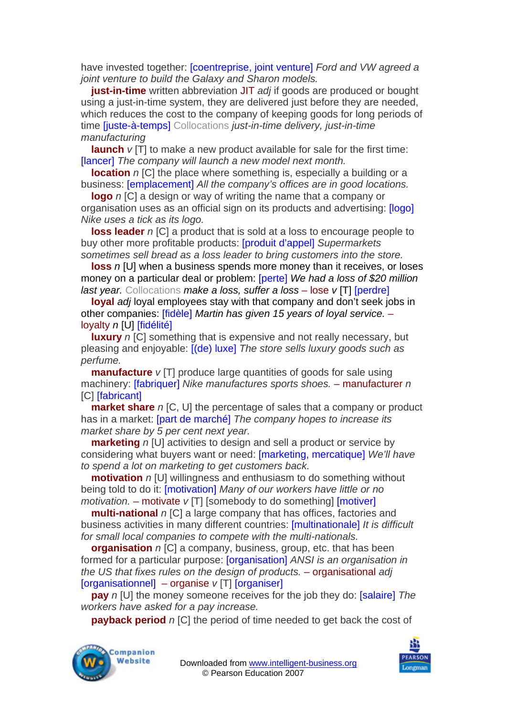have invested together: [coentreprise, joint venture] *Ford and VW agreed a joint venture to build the Galaxy and Sharon models.* 

**just-in-time** written abbreviation JIT *adj* if goods are produced or bought using a just-in-time system, they are delivered just before they are needed, which reduces the cost to the company of keeping goods for long periods of time [juste-à-temps] Collocations *just-in-time delivery, just-in-time manufacturing* 

**launch** *v* [T] to make a new product available for sale for the first time: [lancer] *The company will launch a new model next month.* 

**location** *n* [C] the place where something is, especially a building or a business: [emplacement] *All the company's offices are in good locations.* 

**logo** *n* [C] a design or way of writing the name that a company or organisation uses as an official sign on its products and advertising: [logo] *Nike uses a tick as its logo.* 

**loss leader** *n* [C] a product that is sold at a loss to encourage people to buy other more profitable products: [produit d'appel] *Supermarkets sometimes sell bread as a loss leader to bring customers into the store.* 

**loss** *n* [U] when a business spends more money than it receives, or loses money on a particular deal or problem: [perte] *We had a loss of \$20 million last year.* Collocations *make a loss, suffer a loss* – lose *v* [T] [perdre]

**loyal** *adj* loyal employees stay with that company and don't seek jobs in other companies: [fidèle] *Martin has given 15 years of loyal service.* – loyalty *n* [U] [fidélité]

**luxury** *n* [C] something that is expensive and not really necessary, but pleasing and enjoyable: [(de) luxe] *The store sells luxury goods such as perfume.* 

**manufacture** *v* [T] produce large quantities of goods for sale using machinery: [fabriquer] *Nike manufactures sports shoes.* – manufacturer *n*  [C] [fabricant]

**market share** *n* [C, U] the percentage of sales that a company or product has in a market: [part de marché] *The company hopes to increase its market share by 5 per cent next year.* 

**marketing** *n* [U] activities to design and sell a product or service by considering what buyers want or need: [marketing, mercatique] *We'll have to spend a lot on marketing to get customers back.* 

**motivation** *n* [U] willingness and enthusiasm to do something without being told to do it: [motivation] *Many of our workers have little or no motivation.* – motivate *v* [T] [somebody to do something] [motiver]

**multi-national** *n* [C] a large company that has offices, factories and business activities in many different countries: [multinationale] *It is difficult for small local companies to compete with the multi-nationals.* 

**organisation** *n* [C] a company, business, group, etc. that has been formed for a particular purpose: [organisation] *ANSI is an organisation in the US that fixes rules on the design of products.* – organisational *adj* [organisationnel]– organise *v* [T] [organiser]

**pay** *n* [U] the money someone receives for the job they do: [salaire] *The workers have asked for a pay increase.* 

**payback period** *n* ICI the period of time needed to get back the cost of



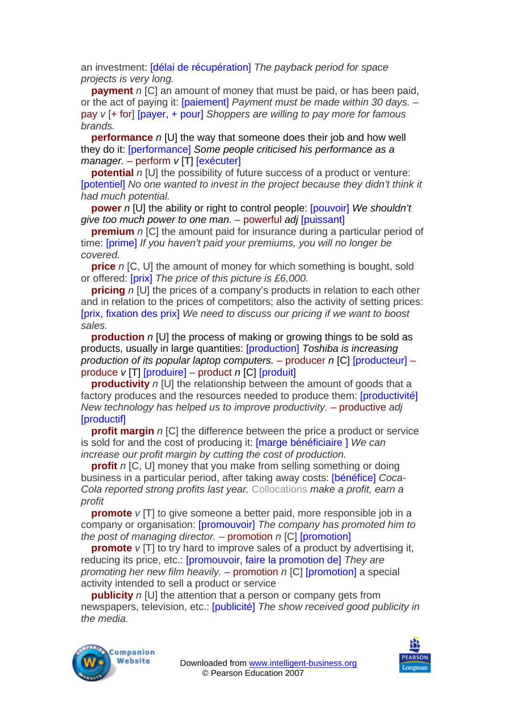an investment: [délai de récupération] *The payback period for space projects is very long.*

**payment** *n* [C] an amount of money that must be paid, or has been paid, or the act of paying it: [paiement] *Payment must be made within 30 days.* – pay *v* [+ for] [payer, + pour] *Shoppers are willing to pay more for famous brands.* 

**performance** *n* [U] the way that someone does their job and how well they do it: [performance] *Some people criticised his performance as a manager.* – perform *v* [T] [exécuter]

**potential** *n* [U] the possibility of future success of a product or venture: [potentiel] No one wanted to invest in the project because they didn't think it *had much potential.* 

**power** *n* [U] the ability or right to control people: [pouvoir] *We shouldn't give too much power to one man.* – powerful *adj* [puissant]

**premium** *n* [C] the amount paid for insurance during a particular period of time: [prime] *If you haven't paid your premiums, you will no longer be covered.* 

**price** *n* [C, U] the amount of money for which something is bought, sold or offered: [prix] *The price of this picture is £6,000.* 

**pricing** *n* [U] the prices of a company's products in relation to each other and in relation to the prices of competitors; also the activity of setting prices: [prix, fixation des prix] *We need to discuss our pricing if we want to boost sales.* 

**production** *n* [U] the process of making or growing things to be sold as products, usually in large quantities: [production] *Toshiba is increasing production of its popular laptop computers.* – producer *n* [C] [producteur] – produce *v* [T] [produire] – product *n* [C] [produit]

**productivity** *n* [U] the relationship between the amount of goods that a factory produces and the resources needed to produce them: [productivité] *New technology has helped us to improve productivity.* – productive *adj*  [productif]

**profit margin** *n* [C] the difference between the price a product or service is sold for and the cost of producing it: [marge bénéficiaire ] *We can increase our profit margin by cutting the cost of production.* 

**profit** *n* [C, U] money that you make from selling something or doing business in a particular period, after taking away costs: [bénéfice] *Coca-Cola reported strong profits last year.* Collocations *make a profit, earn a profit* 

**promote**  $v$  [T] to give someone a better paid, more responsible job in a company or organisation: [promouvoir] *The company has promoted him to the post of managing director.* – promotion *n* [C] [promotion]

**promote** *v* [T] to try hard to improve sales of a product by advertising it, reducing its price, etc.: [promouvoir, faire la promotion de] *They are promoting her new film heavily.* – promotion *n* [C] [promotion] a special activity intended to sell a product or service

**publicity** *n* [U] the attention that a person or company gets from newspapers, television, etc.: [publicité] *The show received good publicity in the media.* 



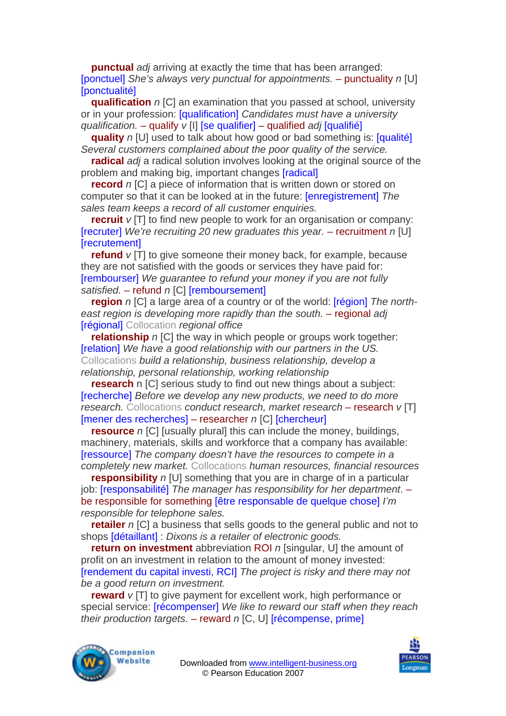**punctual** *adj* arriving at exactly the time that has been arranged: [ponctuel] *She's always very punctual for appointments.* – punctuality *n* [U] **[ponctualité]** 

**qualification** *n* [C] an examination that you passed at school, university or in your profession: [qualification] *Candidates must have a university qualification.* – qualify *v* [I] [se qualifier] – qualified *adj* [qualifié]

**quality** *n* [U] used to talk about how good or bad something is: [qualité] *Several customers complained about the poor quality of the service.* 

**radical** *adj* a radical solution involves looking at the original source of the problem and making big, important changes [radical]

**record** *n* [C] a piece of information that is written down or stored on computer so that it can be looked at in the future: [enregistrement] *The sales team keeps a record of all customer enquiries.* 

**recruit**  $v$  [T] to find new people to work for an organisation or company: **[recruter]** We're recruiting 20 new graduates this year. – recruitment *n* [U] **[**recrutement]

**refund** *v* [T] to give someone their money back, for example, because they are not satisfied with the goods or services they have paid for: [rembourser] *We guarantee to refund your money if you are not fully satisfied.* – refund *n* [C] [remboursement]

**region** *n* [C] a large area of a country or of the world: **[région]** The north*east region is developing more rapidly than the south.* – regional *adj* [régional] Collocation *regional office* 

**relationship** *n* [C] the way in which people or groups work together: [relation] *We have a good relationship with our partners in the US.*  Collocations *build a relationship, business relationship, develop a relationship, personal relationship, working relationship* 

**research** n [C] serious study to find out new things about a subject: [recherche] *Before we develop any new products, we need to do more research.* Collocations *conduct research, market research* – research *v* [T] [mener des recherches] – researcher *n* [C] [chercheur]

**resource** *n* [C] [usually plural] this can include the money, buildings, machinery, materials, skills and workforce that a company has available: [ressource] *The company doesn't have the resources to compete in a completely new market.* Collocations *human resources, financial resources* 

**responsibility** *n* [U] something that you are in charge of in a particular job: [responsabilité] *The manager has responsibility for her department*. – be responsible for something [être responsable de quelque chose] *I'm responsible for telephone sales.* 

**retailer** *n* [C] a business that sells goods to the general public and not to shops [détaillant] : *Dixons is a retailer of electronic goods.* 

**return on investment** abbreviation ROI *n* [singular, U] the amount of profit on an investment in relation to the amount of money invested: [rendement du capital investi, RCI] *The project is risky and there may not be a good return on investment.* 

**reward**  $v$  [T] to give payment for excellent work, high performance or special service: [récompenser] *We like to reward our staff when they reach their production targets.* – reward *n* [C, U] [récompense, prime]



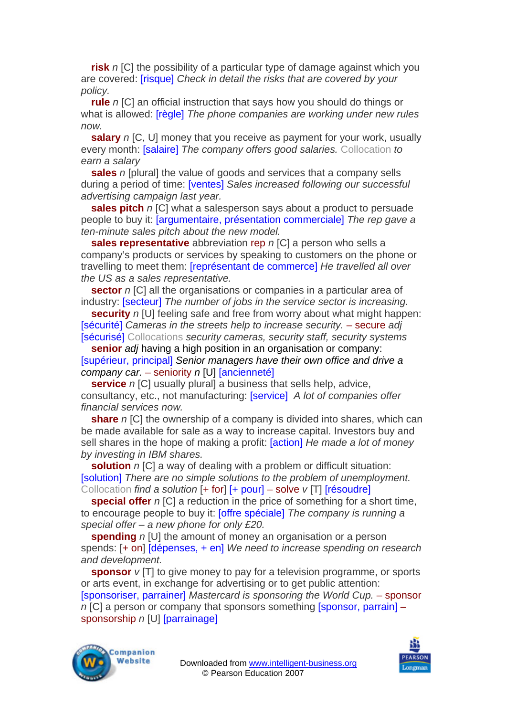**risk** *n* [C] the possibility of a particular type of damage against which you are covered: [risque] *Check in detail the risks that are covered by your policy.* 

**rule** *n* [C] an official instruction that says how you should do things or what is allowed: [règle] *The phone companies are working under new rules now.* 

**salary** *n* IC, UI money that you receive as payment for your work, usually every month: [salaire] *The company offers good salaries.* Collocation *to earn a salary* 

**sales** *n* [plural] the value of goods and services that a company sells during a period of time: [ventes] *Sales increased following our successful advertising campaign last year.* 

**sales pitch** *n* [C] what a salesperson says about a product to persuade people to buy it: [argumentaire, présentation commerciale] *The rep gave a ten-minute sales pitch about the new model.* 

**sales representative** abbreviation rep *n* [C] a person who sells a company's products or services by speaking to customers on the phone or travelling to meet them: [représentant de commerce] *He travelled all over the US as a sales representative.* 

**sector** *n* [C] all the organisations or companies in a particular area of industry: [secteur] *The number of jobs in the service sector is increasing.* 

**security** *n* [U] feeling safe and free from worry about what might happen: [sécurité] *Cameras in the streets help to increase security.* – secure *adj*  [sécurisé] Collocations *security cameras, security staff, security systems* 

**senior** *adj* having a high position in an organisation or company: [supérieur, principal] *Senior managers have their own office and drive a company car.* – seniority *n* [U] [ancienneté]

**service** *n* [C] usually plural] a business that sells help, advice, consultancy, etc., not manufacturing: [service] *A lot of companies offer financial services now.* 

**share** *n* [C] the ownership of a company is divided into shares, which can be made available for sale as a way to increase capital. Investors buy and sell shares in the hope of making a profit: [action] *He made a lot of money by investing in IBM shares.* 

**solution** *n* [C] a way of dealing with a problem or difficult situation: [solution] *There are no simple solutions to the problem of unemployment.*  Collocation *find a solution* [+ for] [+ pour] – solve *v* [T] [résoudre]

**special offer** *n* [C] a reduction in the price of something for a short time, to encourage people to buy it: [offre spéciale] *The company is running a special offer – a new phone for only £20.* 

**spending** *n* [U] the amount of money an organisation or a person spends: [+ on] [dépenses, + en] *We need to increase spending on research and development.* 

**sponsor** *v* [T] to give money to pay for a television programme, or sports or arts event, in exchange for advertising or to get public attention: [sponsoriser, parrainer] *Mastercard is sponsoring the World Cup.* – sponsor *n* [C] a person or company that sponsors something [sponsor, parrain] – sponsorship *n* [U] [parrainage]



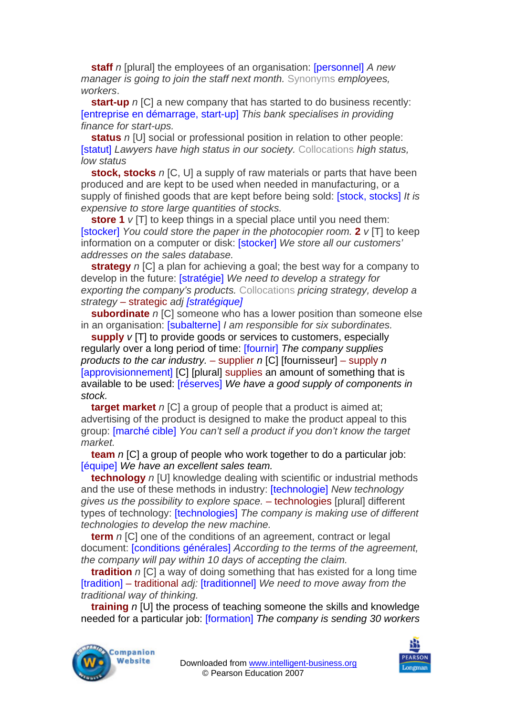**staff** *n* [plural] the employees of an organisation: [personnel] *A new manager is going to join the staff next month.* Synonyms *employees, workers*.

**start-up** *n* [C] a new company that has started to do business recently: [entreprise en démarrage, start-up] *This bank specialises in providing finance for start-ups.* 

**status** *n* [U] social or professional position in relation to other people: [statut] *Lawyers have high status in our society.* Collocations *high status, low status* 

**stock, stocks** *n* IC, UI a supply of raw materials or parts that have been produced and are kept to be used when needed in manufacturing, or a supply of finished goods that are kept before being sold: [stock, stocks] *It is expensive to store large quantities of stocks.* 

**store 1** *v* [T] to keep things in a special place until you need them: [stocker] *You could store the paper in the photocopier room.* **2** *v* [T] to keep information on a computer or disk: [stocker] *We store all our customers' addresses on the sales database.* 

**strategy** *n* [C] a plan for achieving a goal; the best way for a company to develop in the future: [stratégie] *We need to develop a strategy for exporting the company's products.* Collocations *pricing strategy, develop a strategy* – strategic *adj [stratégique]*

**subordinate** *n* [C] someone who has a lower position than someone else in an organisation: [subalterne] *I am responsible for six subordinates.* 

**supply**  $v$  [T] to provide goods or services to customers, especially regularly over a long period of time: [fournir] *The company supplies products to the car industry.* – supplier *n* [C] [fournisseur] – supply *n*  [approvisionnement] [C] [plural] supplies an amount of something that is available to be used: [réserves] *We have a good supply of components in stock.*

**target market** *n* [C] a group of people that a product is aimed at; advertising of the product is designed to make the product appeal to this group: [marché cible] *You can't sell a product if you don't know the target market.* 

**team** *n* [C] a group of people who work together to do a particular job: [équipe] *We have an excellent sales team.* 

**technology** *n* [U] knowledge dealing with scientific or industrial methods and the use of these methods in industry: [technologie] *New technology gives us the possibility to explore space.* – technologies [plural] different types of technology: [technologies] *The company is making use of different technologies to develop the new machine.* 

**term** *n* [C] one of the conditions of an agreement, contract or legal document: [conditions générales] *According to the terms of the agreement, the company will pay within 10 days of accepting the claim.*

**tradition** *n* [C] a way of doing something that has existed for a long time [tradition] – traditional *adj:* [traditionnel] *We need to move away from the traditional way of thinking.* 

**training** *n* [U] the process of teaching someone the skills and knowledge needed for a particular job: [formation] *The company is sending 30 workers*